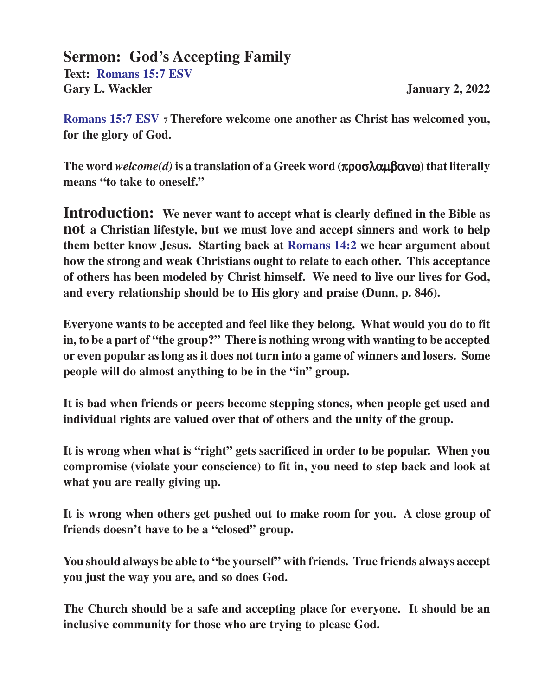#### **Sermon: God's Accepting Family**

**Text: Romans 15:7 ESV** Gary L. Wackler **January 2, 2022** 

**Romans 15:7 ESV 7 Therefore welcome one another as Christ has welcomed you, for the glory of God.**

**The word** *welcome(d)* **is a translation of a Greek word (**προσλαµβανω**) that literally means "to take to oneself."**

**Introduction: We never want to accept what is clearly defined in the Bible as not a Christian lifestyle, but we must love and accept sinners and work to help them better know Jesus. Starting back at Romans 14:2 we hear argument about how the strong and weak Christians ought to relate to each other. This acceptance of others has been modeled by Christ himself. We need to live our lives for God, and every relationship should be to His glory and praise (Dunn, p. 846).**

**Everyone wants to be accepted and feel like they belong. What would you do to fit in, to be a part of "the group?" There is nothing wrong with wanting to be accepted or even popular as long as it does not turn into a game of winners and losers. Some people will do almost anything to be in the "in" group.**

**It is bad when friends or peers become stepping stones, when people get used and individual rights are valued over that of others and the unity of the group.**

**It is wrong when what is "right" gets sacrificed in order to be popular. When you compromise (violate your conscience) to fit in, you need to step back and look at what you are really giving up.**

**It is wrong when others get pushed out to make room for you. A close group of friends doesn't have to be a "closed" group.**

**You should always be able to "be yourself" with friends. True friends always accept you just the way you are, and so does God.**

**The Church should be a safe and accepting place for everyone. It should be an inclusive community for those who are trying to please God.**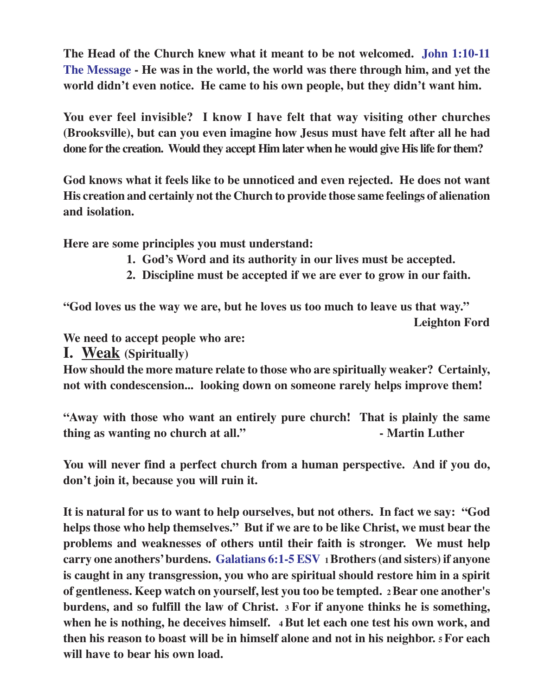**The Head of the Church knew what it meant to be not welcomed. John 1:10-11 The Message - He was in the world, the world was there through him, and yet the world didn't even notice. He came to his own people, but they didn't want him.**

**You ever feel invisible? I know I have felt that way visiting other churches (Brooksville), but can you even imagine how Jesus must have felt after all he had done for the creation. Would they accept Him later when he would give His life for them?**

**God knows what it feels like to be unnoticed and even rejected. He does not want His creation and certainly not the Church to provide those same feelings of alienation and isolation.**

**Here are some principles you must understand:**

- **1. God's Word and its authority in our lives must be accepted.**
- **2. Discipline must be accepted if we are ever to grow in our faith.**

**"God loves us the way we are, but he loves us too much to leave us that way." Leighton Ford**

**We need to accept people who are:**

**I. Weak (Spiritually)**

**How should the more mature relate to those who are spiritually weaker? Certainly, not with condescension... looking down on someone rarely helps improve them!**

**"Away with those who want an entirely pure church! That is plainly the same thing as wanting no church at all." - Martin Luther**

**You will never find a perfect church from a human perspective. And if you do, don't join it, because you will ruin it.**

**It is natural for us to want to help ourselves, but not others. In fact we say: "God helps those who help themselves." But if we are to be like Christ, we must bear the problems and weaknesses of others until their faith is stronger. We must help carry one anothers' burdens. Galatians 6:1-5 ESV <sup>1</sup>Brothers (and sisters) if anyone is caught in any transgression, you who are spiritual should restore him in a spirit of gentleness. Keep watch on yourself, lest you too be tempted. 2 Bear one another's burdens, and so fulfill the law of Christ. 3 For if anyone thinks he is something, when he is nothing, he deceives himself. 4 But let each one test his own work, and then his reason to boast will be in himself alone and not in his neighbor. 5 For each will have to bear his own load.**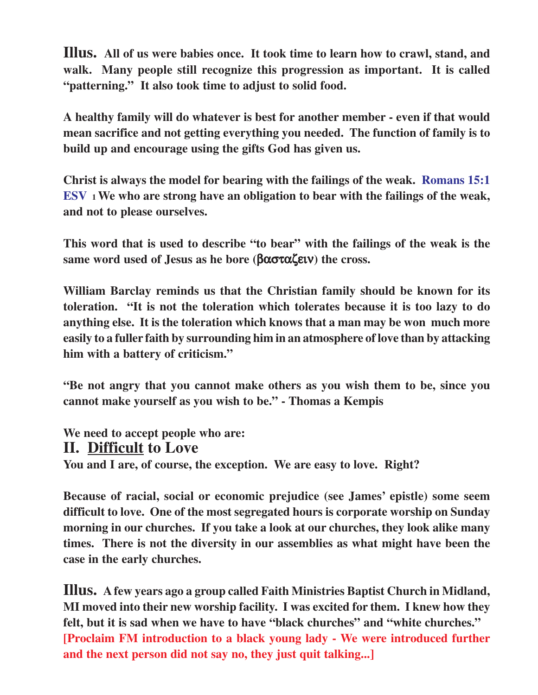**Illus. All of us were babies once. It took time to learn how to crawl, stand, and walk. Many people still recognize this progression as important. It is called "patterning." It also took time to adjust to solid food.**

**A healthy family will do whatever is best for another member - even if that would mean sacrifice and not getting everything you needed. The function of family is to build up and encourage using the gifts God has given us.**

**Christ is always the model for bearing with the failings of the weak. Romans 15:1 ESV 1 We who are strong have an obligation to bear with the failings of the weak, and not to please ourselves.**

**This word that is used to describe "to bear" with the failings of the weak is the same word used of Jesus as he bore (**βασταζειν**) the cross.**

**William Barclay reminds us that the Christian family should be known for its toleration. "It is not the toleration which tolerates because it is too lazy to do anything else. It is the toleration which knows that a man may be won much more easily to a fuller faith by surrounding him in an atmosphere of love than by attacking him with a battery of criticism."**

**"Be not angry that you cannot make others as you wish them to be, since you cannot make yourself as you wish to be." - Thomas a Kempis**

**We need to accept people who are: II. Difficult to Love You and I are, of course, the exception. We are easy to love. Right?**

**Because of racial, social or economic prejudice (see James' epistle) some seem difficult to love. One of the most segregated hours is corporate worship on Sunday morning in our churches. If you take a look at our churches, they look alike many times. There is not the diversity in our assemblies as what might have been the case in the early churches.**

**Illus. A few years ago a group called Faith Ministries Baptist Church in Midland, MI moved into their new worship facility. I was excited for them. I knew how they felt, but it is sad when we have to have "black churches" and "white churches." [Proclaim FM introduction to a black young lady - We were introduced further and the next person did not say no, they just quit talking...]**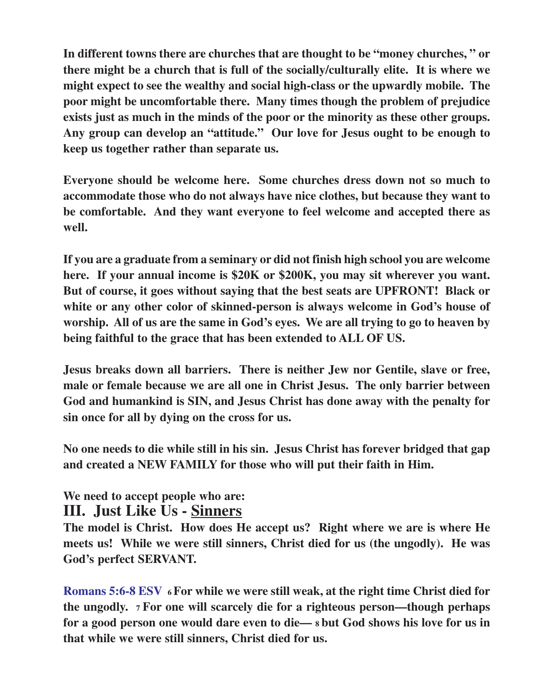**In different towns there are churches that are thought to be "money churches, " or there might be a church that is full of the socially/culturally elite. It is where we might expect to see the wealthy and social high-class or the upwardly mobile. The poor might be uncomfortable there. Many times though the problem of prejudice exists just as much in the minds of the poor or the minority as these other groups. Any group can develop an "attitude." Our love for Jesus ought to be enough to keep us together rather than separate us.**

**Everyone should be welcome here. Some churches dress down not so much to accommodate those who do not always have nice clothes, but because they want to be comfortable. And they want everyone to feel welcome and accepted there as well.**

**If you are a graduate from a seminary or did not finish high school you are welcome here. If your annual income is \$20K or \$200K, you may sit wherever you want. But of course, it goes without saying that the best seats are UPFRONT! Black or white or any other color of skinned-person is always welcome in God's house of worship. All of us are the same in God's eyes. We are all trying to go to heaven by being faithful to the grace that has been extended to ALL OF US.**

**Jesus breaks down all barriers. There is neither Jew nor Gentile, slave or free, male or female because we are all one in Christ Jesus. The only barrier between God and humankind is SIN, and Jesus Christ has done away with the penalty for sin once for all by dying on the cross for us.**

**No one needs to die while still in his sin. Jesus Christ has forever bridged that gap and created a NEW FAMILY for those who will put their faith in Him.**

# **We need to accept people who are:**

### **III. Just Like Us - Sinners**

**The model is Christ. How does He accept us? Right where we are is where He meets us! While we were still sinners, Christ died for us (the ungodly). He was God's perfect SERVANT.**

**Romans 5:6-8 ESV 6 For while we were still weak, at the right time Christ died for the ungodly. 7 For one will scarcely die for a righteous person—though perhaps for a good person one would dare even to die— 8 but God shows his love for us in that while we were still sinners, Christ died for us.**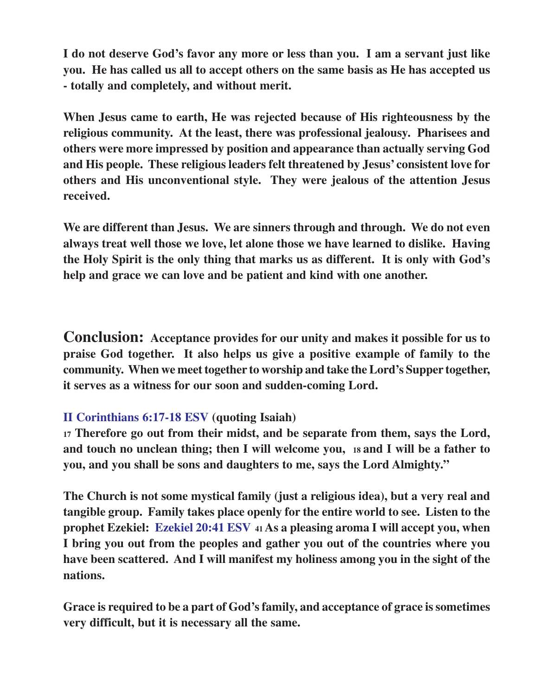**I do not deserve God's favor any more or less than you. I am a servant just like you. He has called us all to accept others on the same basis as He has accepted us - totally and completely, and without merit.**

**When Jesus came to earth, He was rejected because of His righteousness by the religious community. At the least, there was professional jealousy. Pharisees and others were more impressed by position and appearance than actually serving God and His people. These religious leaders felt threatened by Jesus' consistent love for others and His unconventional style. They were jealous of the attention Jesus received.**

**We are different than Jesus. We are sinners through and through. We do not even always treat well those we love, let alone those we have learned to dislike. Having the Holy Spirit is the only thing that marks us as different. It is only with God's help and grace we can love and be patient and kind with one another.**

**Conclusion: Acceptance provides for our unity and makes it possible for us to praise God together. It also helps us give a positive example of family to the community. When we meet together to worship and take the Lord's Supper together, it serves as a witness for our soon and sudden-coming Lord.**

#### **II Corinthians 6:17-18 ESV (quoting Isaiah)**

**<sup>17</sup> Therefore go out from their midst, and be separate from them, says the Lord, and touch no unclean thing; then I will welcome you, 18 and I will be a father to you, and you shall be sons and daughters to me, says the Lord Almighty."**

**The Church is not some mystical family (just a religious idea), but a very real and tangible group. Family takes place openly for the entire world to see. Listen to the prophet Ezekiel: Ezekiel 20:41 ESV 41 As a pleasing aroma I will accept you, when I bring you out from the peoples and gather you out of the countries where you have been scattered. And I will manifest my holiness among you in the sight of the nations.**

**Grace is required to be a part of God's family, and acceptance of grace is sometimes very difficult, but it is necessary all the same.**